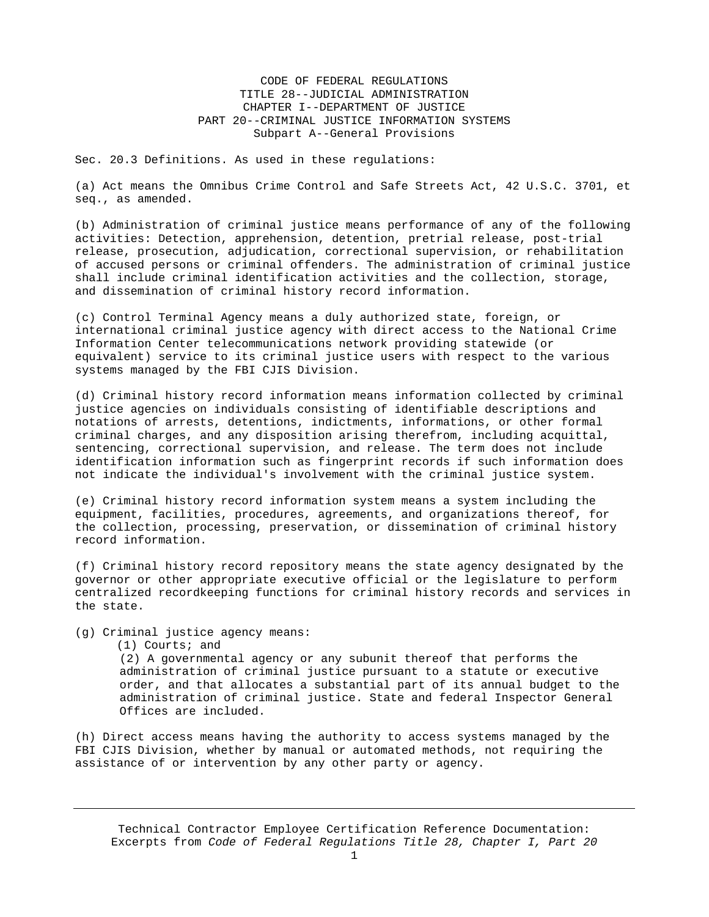CODE OF FEDERAL REGULATIONS TITLE 28--JUDICIAL ADMINISTRATION CHAPTER I--DEPARTMENT OF JUSTICE PART 20--CRIMINAL JUSTICE INFORMATION SYSTEMS Subpart A--General Provisions

Sec. 20.3 Definitions. As used in these regulations:

(a) Act means the Omnibus Crime Control and Safe Streets Act, 42 U.S.C. 3701, et seq., as amended.

(b) Administration of criminal justice means performance of any of the following activities: Detection, apprehension, detention, pretrial release, post-trial release, prosecution, adjudication, correctional supervision, or rehabilitation of accused persons or criminal offenders. The administration of criminal justice shall include criminal identification activities and the collection, storage, and dissemination of criminal history record information.

(c) Control Terminal Agency means a duly authorized state, foreign, or international criminal justice agency with direct access to the National Crime Information Center telecommunications network providing statewide (or equivalent) service to its criminal justice users with respect to the various systems managed by the FBI CJIS Division.

(d) Criminal history record information means information collected by criminal justice agencies on individuals consisting of identifiable descriptions and notations of arrests, detentions, indictments, informations, or other formal criminal charges, and any disposition arising therefrom, including acquittal, sentencing, correctional supervision, and release. The term does not include identification information such as fingerprint records if such information does not indicate the individual's involvement with the criminal justice system.

(e) Criminal history record information system means a system including the equipment, facilities, procedures, agreements, and organizations thereof, for the collection, processing, preservation, or dissemination of criminal history record information.

(f) Criminal history record repository means the state agency designated by the governor or other appropriate executive official or the legislature to perform centralized recordkeeping functions for criminal history records and services in the state.

(g) Criminal justice agency means:

(1) Courts; and

(2) A governmental agency or any subunit thereof that performs the administration of criminal justice pursuant to a statute or executive order, and that allocates a substantial part of its annual budget to the administration of criminal justice. State and federal Inspector General Offices are included.

(h) Direct access means having the authority to access systems managed by the FBI CJIS Division, whether by manual or automated methods, not requiring the assistance of or intervention by any other party or agency.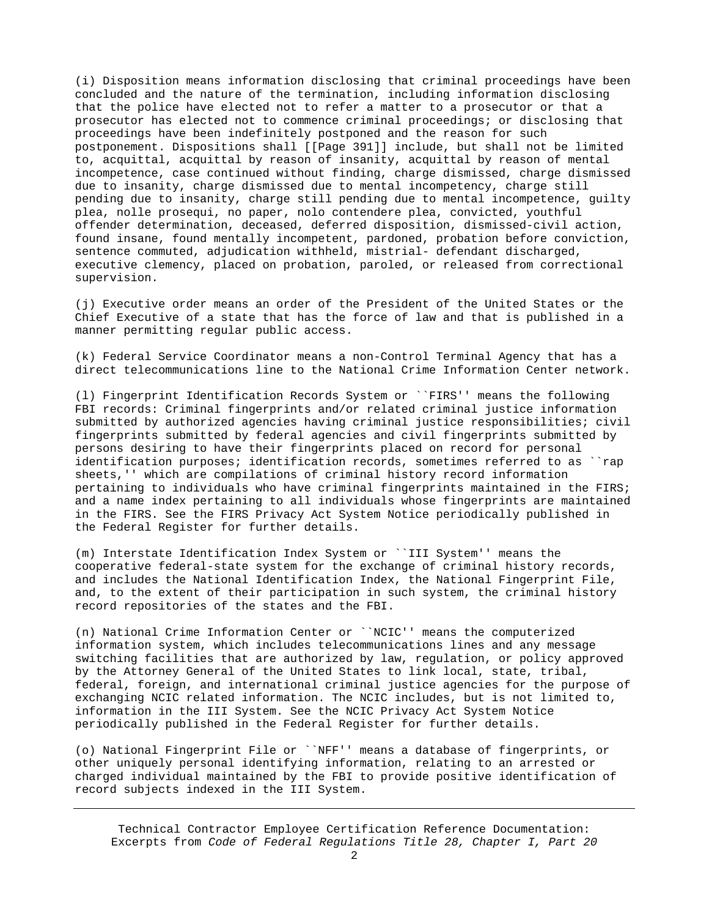(i) Disposition means information disclosing that criminal proceedings have been concluded and the nature of the termination, including information disclosing that the police have elected not to refer a matter to a prosecutor or that a prosecutor has elected not to commence criminal proceedings; or disclosing that proceedings have been indefinitely postponed and the reason for such postponement. Dispositions shall [[Page 391]] include, but shall not be limited to, acquittal, acquittal by reason of insanity, acquittal by reason of mental incompetence, case continued without finding, charge dismissed, charge dismissed due to insanity, charge dismissed due to mental incompetency, charge still pending due to insanity, charge still pending due to mental incompetence, guilty plea, nolle prosequi, no paper, nolo contendere plea, convicted, youthful offender determination, deceased, deferred disposition, dismissed-civil action, found insane, found mentally incompetent, pardoned, probation before conviction, sentence commuted, adjudication withheld, mistrial- defendant discharged, executive clemency, placed on probation, paroled, or released from correctional supervision.

(j) Executive order means an order of the President of the United States or the Chief Executive of a state that has the force of law and that is published in a manner permitting regular public access.

(k) Federal Service Coordinator means a non-Control Terminal Agency that has a direct telecommunications line to the National Crime Information Center network.

(l) Fingerprint Identification Records System or ``FIRS'' means the following FBI records: Criminal fingerprints and/or related criminal justice information submitted by authorized agencies having criminal justice responsibilities; civil fingerprints submitted by federal agencies and civil fingerprints submitted by persons desiring to have their fingerprints placed on record for personal identification purposes; identification records, sometimes referred to as ``rap sheets,'' which are compilations of criminal history record information pertaining to individuals who have criminal fingerprints maintained in the FIRS; and a name index pertaining to all individuals whose fingerprints are maintained in the FIRS. See the FIRS Privacy Act System Notice periodically published in the Federal Register for further details.

(m) Interstate Identification Index System or ``III System'' means the cooperative federal-state system for the exchange of criminal history records, and includes the National Identification Index, the National Fingerprint File, and, to the extent of their participation in such system, the criminal history record repositories of the states and the FBI.

(n) National Crime Information Center or ``NCIC'' means the computerized information system, which includes telecommunications lines and any message switching facilities that are authorized by law, regulation, or policy approved by the Attorney General of the United States to link local, state, tribal, federal, foreign, and international criminal justice agencies for the purpose of exchanging NCIC related information. The NCIC includes, but is not limited to, information in the III System. See the NCIC Privacy Act System Notice periodically published in the Federal Register for further details.

(o) National Fingerprint File or ``NFF'' means a database of fingerprints, or other uniquely personal identifying information, relating to an arrested or charged individual maintained by the FBI to provide positive identification of record subjects indexed in the III System.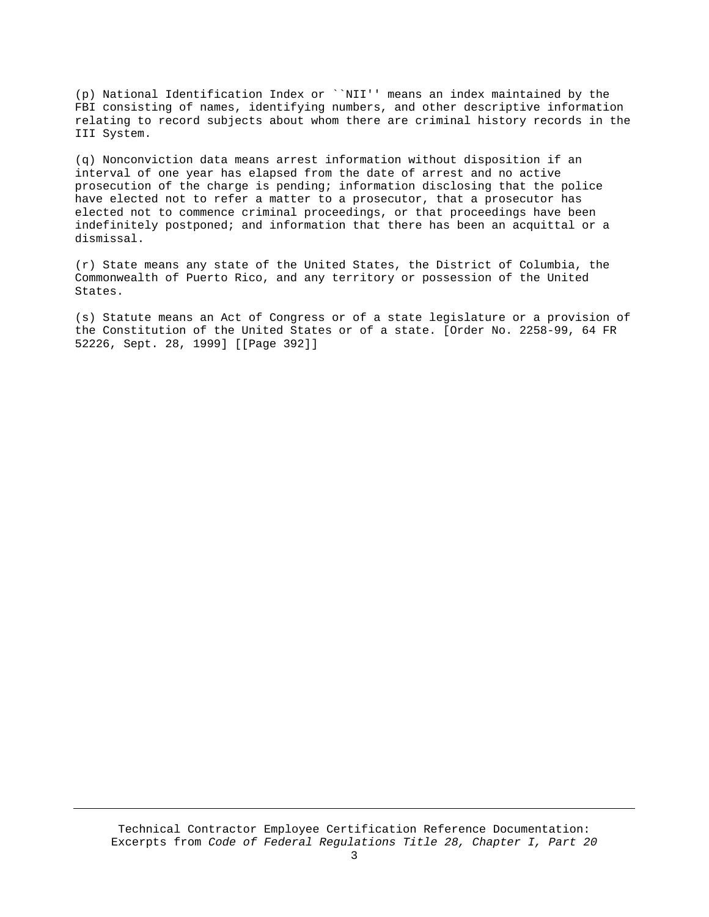(p) National Identification Index or ``NII'' means an index maintained by the FBI consisting of names, identifying numbers, and other descriptive information relating to record subjects about whom there are criminal history records in the III System.

(q) Nonconviction data means arrest information without disposition if an interval of one year has elapsed from the date of arrest and no active prosecution of the charge is pending; information disclosing that the police have elected not to refer a matter to a prosecutor, that a prosecutor has elected not to commence criminal proceedings, or that proceedings have been indefinitely postponed; and information that there has been an acquittal or a dismissal.

(r) State means any state of the United States, the District of Columbia, the Commonwealth of Puerto Rico, and any territory or possession of the United States.

(s) Statute means an Act of Congress or of a state legislature or a provision of the Constitution of the United States or of a state. [Order No. 2258-99, 64 FR 52226, Sept. 28, 1999] [[Page 392]]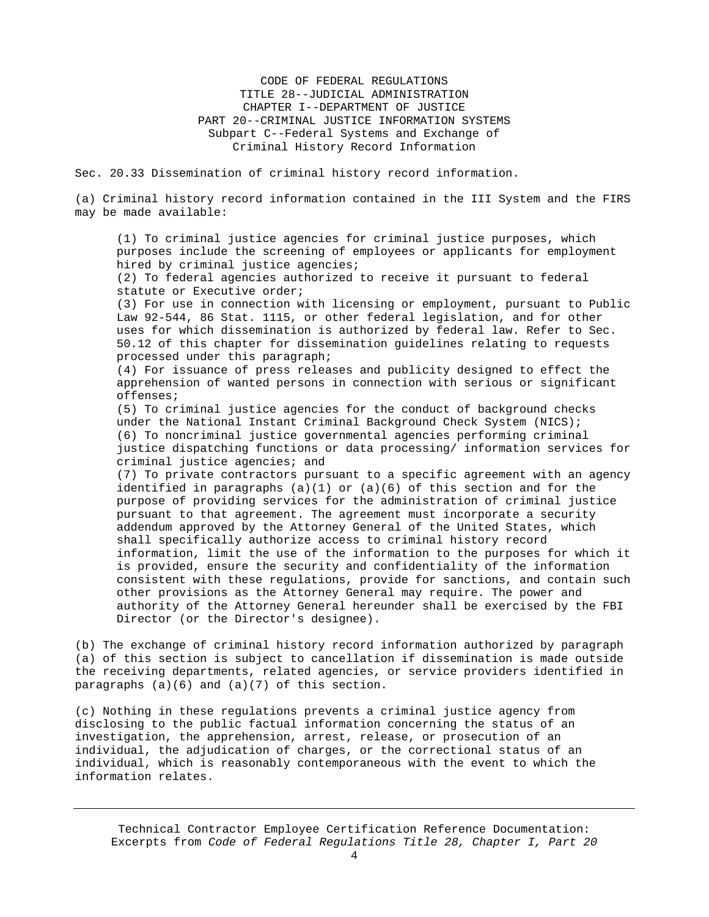CODE OF FEDERAL REGULATIONS TITLE 28--JUDICIAL ADMINISTRATION CHAPTER I--DEPARTMENT OF JUSTICE PART 20--CRIMINAL JUSTICE INFORMATION SYSTEMS Subpart C--Federal Systems and Exchange of Criminal History Record Information

Sec. 20.33 Dissemination of criminal history record information.

(a) Criminal history record information contained in the III System and the FIRS may be made available:

(1) To criminal justice agencies for criminal justice purposes, which purposes include the screening of employees or applicants for employment hired by criminal justice agencies;

(2) To federal agencies authorized to receive it pursuant to federal statute or Executive order;

(3) For use in connection with licensing or employment, pursuant to Public Law 92-544, 86 Stat. 1115, or other federal legislation, and for other uses for which dissemination is authorized by federal law. Refer to Sec. 50.12 of this chapter for dissemination guidelines relating to requests processed under this paragraph;

(4) For issuance of press releases and publicity designed to effect the apprehension of wanted persons in connection with serious or significant offenses;

(5) To criminal justice agencies for the conduct of background checks under the National Instant Criminal Background Check System (NICS); (6) To noncriminal justice governmental agencies performing criminal justice dispatching functions or data processing/ information services for criminal justice agencies; and

(7) To private contractors pursuant to a specific agreement with an agency identified in paragraphs (a)(1) or (a)(6) of this section and for the purpose of providing services for the administration of criminal justice pursuant to that agreement. The agreement must incorporate a security addendum approved by the Attorney General of the United States, which shall specifically authorize access to criminal history record information, limit the use of the information to the purposes for which it is provided, ensure the security and confidentiality of the information consistent with these regulations, provide for sanctions, and contain such other provisions as the Attorney General may require. The power and authority of the Attorney General hereunder shall be exercised by the FBI Director (or the Director's designee).

(b) The exchange of criminal history record information authorized by paragraph (a) of this section is subject to cancellation if dissemination is made outside the receiving departments, related agencies, or service providers identified in paragraphs (a)(6) and (a)(7) of this section.

(c) Nothing in these regulations prevents a criminal justice agency from disclosing to the public factual information concerning the status of an investigation, the apprehension, arrest, release, or prosecution of an individual, the adjudication of charges, or the correctional status of an individual, which is reasonably contemporaneous with the event to which the information relates.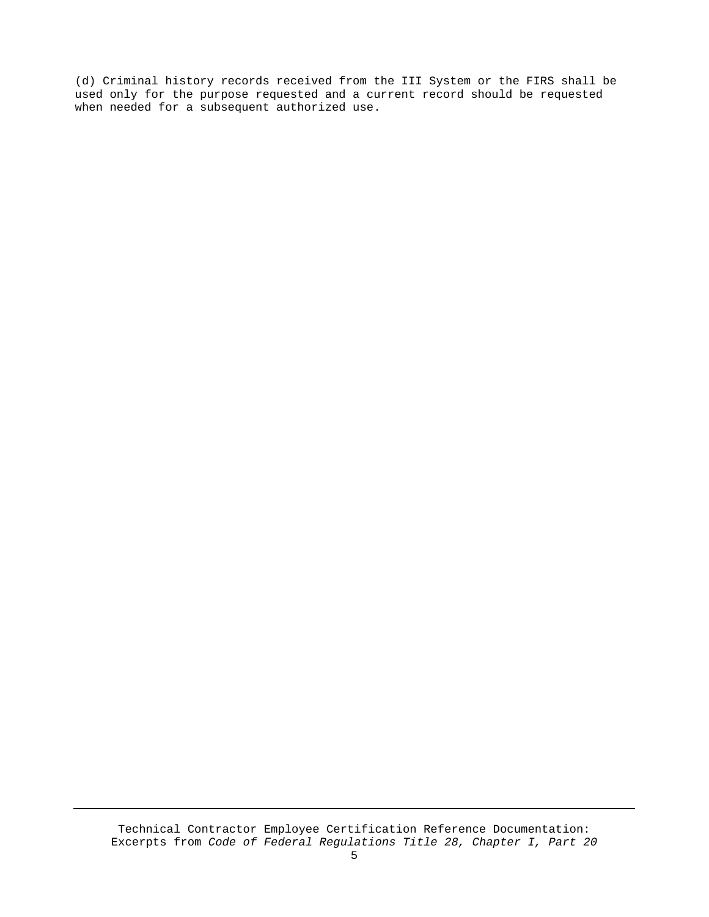(d) Criminal history records received from the III System or the FIRS shall be used only for the purpose requested and a current record should be requested when needed for a subsequent authorized use.